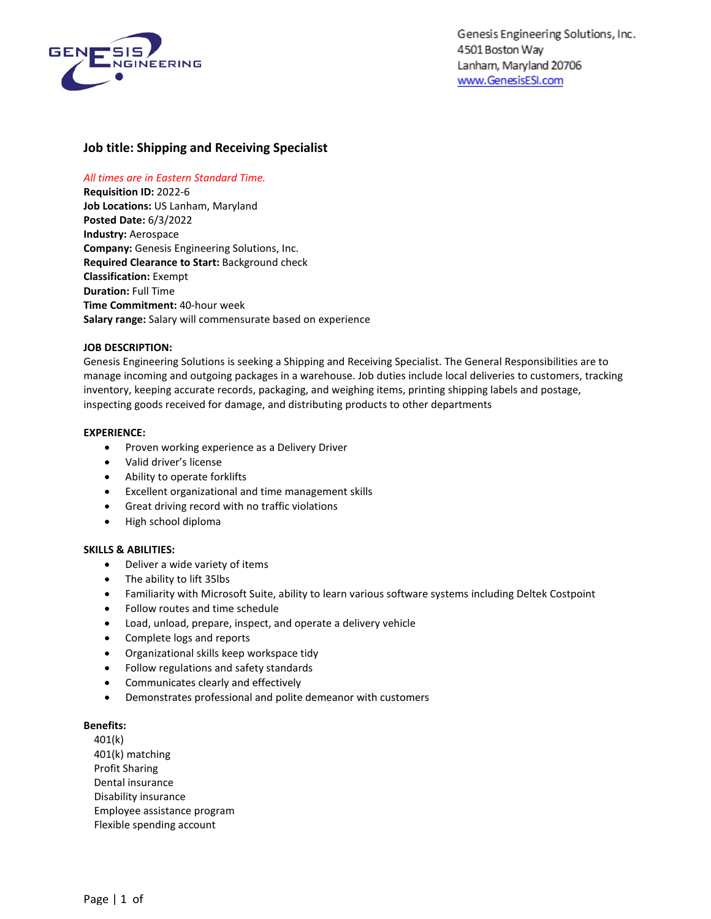

# **Job title: Shipping and Receiving Specialist**

## *All times are in Eastern Standard Time.*

**Requisition ID:** 2022-6 **Job Locations:** US Lanham, Maryland **Posted Date:** 6/3/2022 **Industry:** Aerospace **Company:** Genesis Engineering Solutions, Inc. **Required Clearance to Start:** Background check **Classification:** Exempt **Duration:** Full Time **Time Commitment:** 40-hour week **Salary range:** Salary will commensurate based on experience

## **JOB DESCRIPTION:**

Genesis Engineering Solutions is seeking a Shipping and Receiving Specialist. The General Responsibilities are to manage incoming and outgoing packages in a warehouse. Job duties include local deliveries to customers, tracking inventory, keeping accurate records, packaging, and weighing items, printing shipping labels and postage, inspecting goods received for damage, and distributing products to other departments

## **EXPERIENCE:**

- Proven working experience as a Delivery Driver
- Valid driver's license
- Ability to operate forklifts
- Excellent organizational and time management skills
- Great driving record with no traffic violations
- High school diploma

## **SKILLS & ABILITIES:**

- Deliver a wide variety of items
- The ability to lift 35lbs
- Familiarity with Microsoft Suite, ability to learn various software systems including Deltek Costpoint
- Follow routes and time schedule
- Load, unload, prepare, inspect, and operate a delivery vehicle
- Complete logs and reports
- Organizational skills keep workspace tidy
- Follow regulations and safety standards
- Communicates clearly and effectively
- Demonstrates professional and polite demeanor with customers

#### **Benefits:**

401(k) 401(k) matching Profit Sharing Dental insurance Disability insurance Employee assistance program Flexible spending account